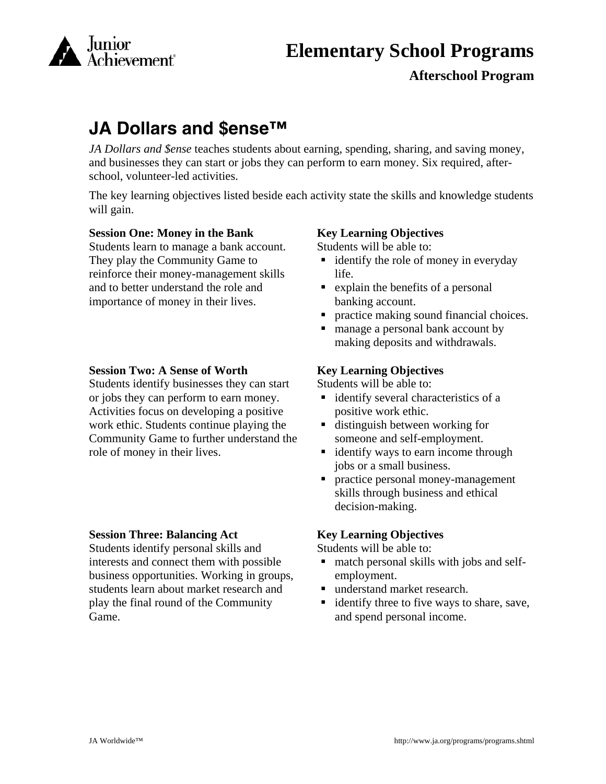

# **Elementary School Programs**

# **Afterschool Program**

# **JA Dollars and \$ense™**

*JA Dollars and \$ense* teaches students about earning, spending, sharing, and saving money, and businesses they can start or jobs they can perform to earn money. Six required, afterschool, volunteer-led activities.

The key learning objectives listed beside each activity state the skills and knowledge students will gain.

## **Session One: Money in the Bank**

Students learn to manage a bank account. They play the Community Game to reinforce their money-management skills and to better understand the role and importance of money in their lives.

### **Session Two: A Sense of Worth**

Students identify businesses they can start or jobs they can perform to earn money. Activities focus on developing a positive work ethic. Students continue playing the Community Game to further understand the role of money in their lives.

#### **Session Three: Balancing Act**

Students identify personal skills and interests and connect them with possible business opportunities. Working in groups, students learn about market research and play the final round of the Community Game.

#### **Key Learning Objectives**

Students will be able to:

- $\blacksquare$  identify the role of money in everyday life.
- explain the benefits of a personal banking account.
- practice making sound financial choices.
- manage a personal bank account by making deposits and withdrawals.

## **Key Learning Objectives**

Students will be able to:

- identify several characteristics of a positive work ethic.
- distinguish between working for someone and self-employment.
- identify ways to earn income through jobs or a small business.
- **Personal money-management** skills through business and ethical decision-making.

## **Key Learning Objectives**

Students will be able to:

- match personal skills with jobs and selfemployment.
- understand market research.
- **didentify three to five ways to share, save,** and spend personal income.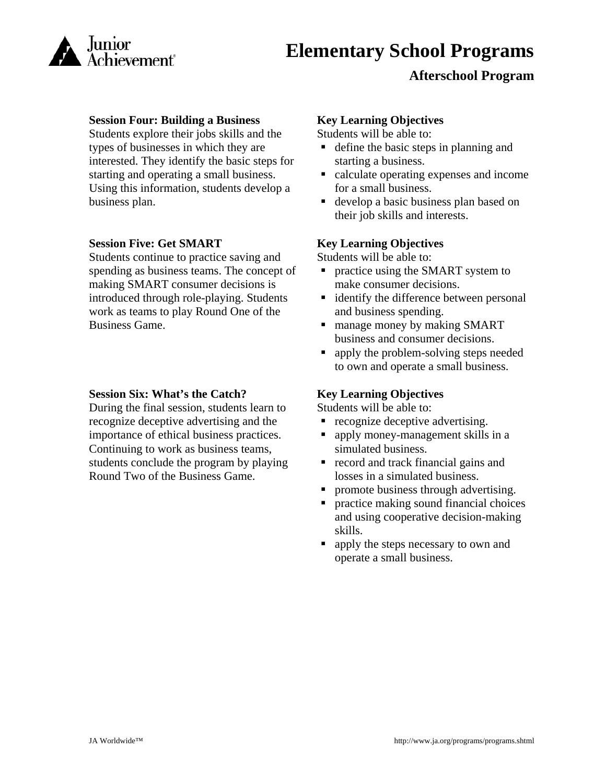

# **Afterschool Program**

### **Session Four: Building a Business**

Students explore their jobs skills and the types of businesses in which they are interested. They identify the basic steps for starting and operating a small business. Using this information, students develop a business plan.

### **Session Five: Get SMART**

Students continue to practice saving and spending as business teams. The concept of making SMART consumer decisions is introduced through role-playing. Students work as teams to play Round One of the Business Game.

### **Session Six: What's the Catch?**

During the final session, students learn to recognize deceptive advertising and the importance of ethical business practices. Continuing to work as business teams, students conclude the program by playing Round Two of the Business Game.

## **Key Learning Objectives**

Students will be able to:

- define the basic steps in planning and starting a business.
- calculate operating expenses and income for a small business.
- develop a basic business plan based on their job skills and interests.

### **Key Learning Objectives**

Students will be able to:

- practice using the SMART system to make consumer decisions.
- **identify the difference between personal** and business spending.
- manage money by making SMART business and consumer decisions.
- no apply the problem-solving steps needed to own and operate a small business.

## **Key Learning Objectives**

Students will be able to:

- recognize deceptive advertising.
- apply money-management skills in a simulated business.
- $\blacksquare$  record and track financial gains and losses in a simulated business.
- promote business through advertising.
- practice making sound financial choices and using cooperative decision-making skills.
- apply the steps necessary to own and operate a small business.